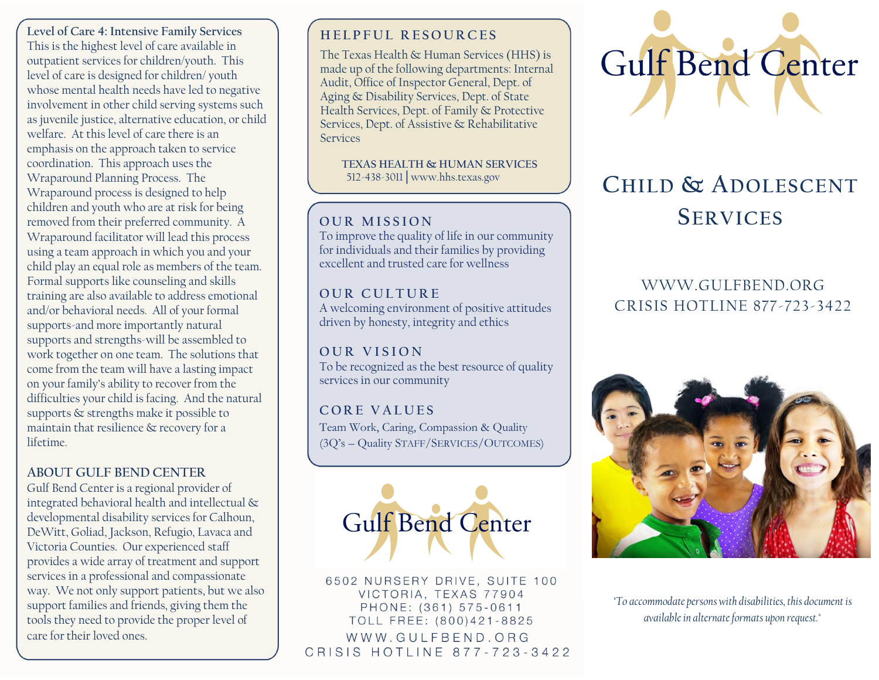**Level of Care 4: Intensive Family Services** This is the highest level of care available in outpatient services for children/youth. This level of care is designed for children/ youth whose mental health needs have led to negative involvement in other child serving systems such as juvenile justice, alternative education, or child welfare. At this level of care there is an emphasis on the approach taken to service coordination. This approach uses the Wraparound Planning Process. The Wraparound process is designed to help children and youth who are at risk for being removed from their preferred community. A Wraparound facilitator will lead this process using a team approach in which you and your child play an equal role as members of the team. Formal supports like counseling and skills training are also available to address emotional and/or behavioral needs. All of your formal supports-and more importantly natural supports and strengths-will be assembled to work together on one team. The solutions that come from the team will have a lasting impact on your family's ability to recover from the difficulties your child is facing. And the natural supports & strengths make it possible to maintain that resilience & recovery for a lifetime.

## **ABOUT GULF BEND CENTER**

Gulf Bend Center is a regional provider of integrated behavioral health and intellectual & developmental disability services for Calhoun, DeWitt, Goliad, Jackson, Refugio, Lavaca and Victoria Counties. Our experienced staff provides a wide array of treatment and support services in a professional and compassionate way. We not only support patients, but we also support families and friends, giving them the tools they need to provide the proper level of care for their loved ones.

# **H E L P F U L R E S O U R C E S**

The Texas Health & Human Services (HHS) is made up of the following departments: [Internal](https://hhs.texas.gov/about-hhs/agencies-departments#internalaudit)  [Audit,](https://hhs.texas.gov/about-hhs/agencies-departments#internalaudit) [Office of Inspector General,](https://hhs.texas.gov/about-hhs/agencies-departments#OfficeofInspectorGeneral) [Dept. of](https://hhs.texas.gov/about-hhs/agencies-departments#dads)  [Aging & Disability Services,](https://hhs.texas.gov/about-hhs/agencies-departments#dads) [Dept. of State](https://hhs.texas.gov/about-hhs/agencies-departments#dshs)  [Health Services,](https://hhs.texas.gov/about-hhs/agencies-departments#dshs) [Dept. of Family & Protective](https://hhs.texas.gov/about-hhs/agencies-departments#dfps)  [Services,](https://hhs.texas.gov/about-hhs/agencies-departments#dfps) [Dept. of Assistive & Rehabilitative](https://hhs.texas.gov/about-hhs/agencies-departments#dars)  [Services](https://hhs.texas.gov/about-hhs/agencies-departments#dars)

 **TEXAS HEALTH & HUMAN SERVICES** 512-438-3011│www.hhs.texas.gov

## **OUR MISSION**

To improve the quality of life in our community for individuals and their families by providing excellent and trusted care for wellness

## **O U R C U L T U R E**

A welcoming environment of positive attitudes driven by honesty, integrity and ethics

**O U R V I S I O N** To be recognized as the best resource of quality services in our community

# **C O R E V A L U E S**

Team Work, Caring, Compassion & Quality (3Q's – Quality STAFF/SERVICES/OUTCOMES)



6502 NURSERY DRIVE, SUITE 100 VICTORIA, TEXAS 77904 PHONE: (361) 575-0611 TOLL FREE: (800)421-8825 WWW.GULFBEND.ORG CRISIS HOTLINE 877-723-3422



# **CHILD & ADOLESCENT SERVICES**

# WWW.GULFBEND.ORG CRISIS HOTLINE 877-723-3422



*"To accommodate persons with disabilities, this document is available in alternate formats upon request."*